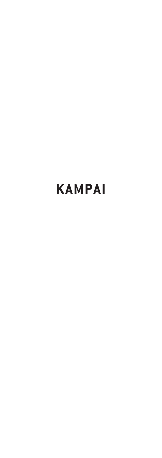# **KAMPAI**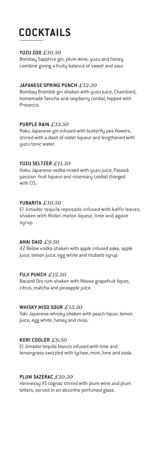# **COCKTAILS**

#### **YUZU ZOO** *£10.50*

Bombay Sapphire gin, plum wine, yuzu and honey combine giving a fruity balance of sweet and sour.

#### **JAPANESE SPRING PUNCH** *£12.50*

Bombay Bramble gin shaken with yuzu juice, Chambord, homemade Sencha and raspberry cordial, topped with Prosecco.

#### **PURPLE RAIN** *£13.50*

Roku Japanese gin infused with butterfly pea flowers, stirred with a dash of violet liqueur and lengthened with yuzu tonic water.

#### **YUZU SELTZER** *£11.50*

Haku Japanese vodka mixed with yuzu juice, Passoã passion fruit liqueur and rosemary cordial charged with  $CO<sub>2</sub>$ 

#### **YUBARITA** *£10.50*

El Jimador tequila reposado infused with kaffir leaves, shaken with Midori melon liqueur, lime and agave syrup.

#### **AMAI DAIO** *£9.50*

42 Below vodka shaken with apple infused sake, apple juice, lemon juice, egg white and rhubarb syrup.

### **FUJI PUNCH** *£12.50*

Bacardi Oro rum shaken with Moose grapefruit liquor, citrus, matcha and pineapple juice.

#### **WHISKY MISO SOUR** *£13.50*

Toki Japanese whisky shaken with peach liquor, lemon juice, egg white, honey and miso.

#### **KORI COOLER** *£9.50*

El Jimador tequila blanco infused with lime and lemongrass swizzled with lychee, mint, lime and soda.

#### **PLUM SAZERAC** *£10.50*

Hennessy VS cognac stirred with plum wine and plum bitters, served in an absinthe perfumed glass.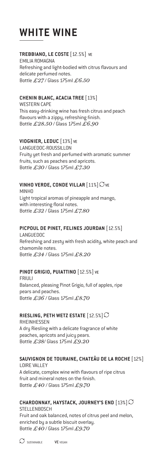# **WHITE WINE**

### **TREBBIANO, LE COSTE** [12.5%] VE

EMILIA ROMAGNA Refreshing and light-bodied with citrus flavours and delicate perfumed notes. Bottle *£27* / Glass 175ml *£6.50*

# **CHENIN BLANC, ACACIA TREE** [13%]

WESTERN CAPE This easy-drinking wine has fresh citrus and peach flavours with a zippu, refreshing finish. Bottle *£28.50* / Glass 175ml *£6.90*

# **VIOGNIER, LEDUC** [13%] VE

LANGUEDOC-ROUSSILLON Fruity yet fresh and perfumed with aromatic summer fruits, such as peaches and apricots. Bottle *£30* / Glass 175ml *£7.30* 

# **VINHO VERDE, CONDE VILLAR**  $[11\%]\n$ VE

MINHO Light tropical aromas of pineapple and mango, with interesting floral notes. Bottle *£32* / Glass 175ml *£7.80*

# **PICPOUL DE PINET, FELINES JOURDAN** [12.5%]

LANGUEDOC Refreshing and zesty with fresh acidity, white peach and chamomile notes. Bottle *£34* / Glass 175ml *£8.20*

# **PINOT GRIGIO, PUIATTINO** [12.5%] VE

FRIULI Balanced, pleasing Pinot Grigio, full of apples, ripe pears and peaches. Bottle *£36* / Glass 175ml *£8.70*

### **RIESLING, PETH WETZ ESTATE** [12.5%]

RHEINHESSEN A dry Riesling with a delicate fragrance of white peaches, apricots and juicy pears. Bottle *£38*/ Glass 175ml *£9.20*

# **SAUVIGNON DE TOURAINE, CHATEÂU DE LA ROCHE** [12%]

LOIRE VALLEY A delicate, complex wine with flavours of ripe citrus fruit and mineral notes on the finish. Bottle *£40* / Glass 175ml *£9.70*

# **CHARDONNAY, HAYSTACK, JOURNEY'S END** [13%]

STELL ENBOSCH Fruit and oak balanced, notes of citrus peel and melon, enriched by a subtle biscuit overlay. Bottle *£40* / Glass 175ml *£9.70*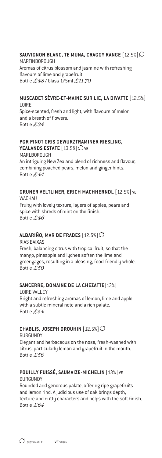### **SAUVIGNON BLANC, TE MUNA, CRAGGY RANGE** [12.5%]

MARTINBOROUGH Aromas of citrus blossom and jasmine with refreshing flavours of lime and grapefruit. Bottle *£48* / Glass 175ml *£11.70*

#### **MUSCADET SÈVRE-ET-MAINE SUR LIE, LA DIVATTE** [12.5%] LOIRE

Spice-scented, fresh and light, with flavours of melon and a breath of flowers. Bottle *£34* 

# **PGR PINOT GRIS GEWURZTRAMINER RIESLING,**

**YEALANDS ESTATE** [13.5%]  $\bigcirc$  ve **MARLBOROUGH** An intriguing New Zealand blend of richness and flavour, combining poached pears, melon and ginger hints. Bottle *£44* 

#### **GRUNER VELTLINER, ERICH MACHHERNDL** [12.5%] VE WACHAU

Fruity with lovely texture, layers of apples, pears and spice with shreds of mint on the finish. Bottle *£46*

### **ALBARIÑO, MAR DE FRADES** [12.5%]

RIAS BAIXAS Fresh, balancing citrus with tropical fruit, so that the mango, pineapple and lychee soften the lime and greengages, resulting in a pleasing, food-friendly whole. Bottle *£50*

### **SANCERRE, DOMAINE DE LA CHEZATTE**[13%]

LOIRE VALLEY Bright and refreshing aromas of lemon, lime and apple with a subtle mineral note and a rich palate. Bottle *£54* 

# **CHABLIS, JOSEPH DROUHIN** [12.5%]

BURGUNDY Elegant and herbaceous on the nose, fresh-washed with citrus, particularly lemon and grapefruit in the mouth. Bottle *£56*

#### **POUILLY FUISSÉ, SAUMAIZE-MICHELIN** [13%] VE **BURGUNDY**

Rounded and generous palate, offering ripe grapefruits and lemon rind. A judicious use of oak brings depth, texture and nutty characters and helps with the soft finish. Bottle *£64*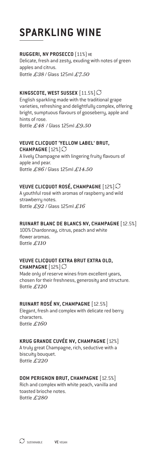# **SPARKLING WINE**

#### **RUGGERI, NV PROSECCO** (11%) VE

Delicate, fresh and zesty, exuding with notes of green apples and citrus. Bottle *£38* / Glass 125ml *£7.50*

### **KINGSCOTE, WEST SUSSEX** [11.5%]

English sparkling made with the traditional grape varieties, refreshing and delightfully complex, offering bright, sumptuous flavours of gooseberry, apple and hints of rose. Bottle *£48* / Glass 125ml *£9.50*

#### **VEUVE CLICQUOT 'YELLOW LABEL' BRUT,**

**CHAMPAGNE** [12%] A lively Champagne with lingering fruity flavours of apple and pear. Bottle *£86* / Glass 125ml *£14.50*

### **VEUVE CLICQUOT ROSÉ, CHAMPAGNE** [12%]

A youthful rosé with aromas of raspberry and wild strawberry notes. Bottle *£92* / Glass 125ml *£16*

#### **RUINART BLANC DE BLANCS NV, CHAMPAGNE** [12.5%]

100% Chardonnay, citrus, peach and white flower aromas. Bottle *£110* 

#### **VEUVE CLICQUOT EXTRA BRUT EXTRA OLD, CHAMPAGNE** [12%]

Made only of reserve wines from excellent years, chosen for their freshness, generosity and structure.

Bottle *£120* **RUINART ROSÉ NV, CHAMPAGNE** [12.5%]

Elegant, fresh and complex with delicate red berry characters. Bottle *£160*

### **KRUG GRANDE CUVÉE NV, CHAMPAGNE** [12%]

A truly great Champagne, rich, seductive with a biscuity bouquet. Bottle *£220*

### **DOM PERIGNON BRUT, CHAMPAGNE** [12.5%]

Rich and complex with white peach, vanilla and toasted brioche notes. Bottle *£280*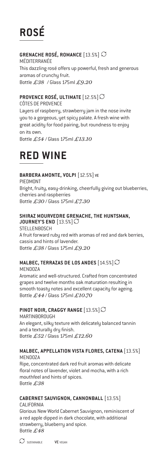# **ROSÉ**

# **GRENACHE ROSÉ, ROMANCE** [13.5%]

MÉDITERRANÉE This dazzling rosé offers up powerful, fresh and generous aromas of crunchu fruit. Bottle *£38* / Glass 175ml *£9.20*

# **PROVENCE ROSÉ, ULTIMATE** [12.5%]

CÔTES DE PROVENCE

Layers of raspberry, strawberry jam in the nose invite you to a gorgeous, yet spicy palate. A fresh wine with great acidity for food pairing, but roundness to enjoy on its own.

Bottle *£54* / Glass 175ml *£13.10*

# **RED WINE**

# **BARBERA AMONTE, VOLPI** [12.5%] VE

PIEDMONT Bright, fruity, easy-drinking, cheerfully giving out blueberries, cherries and raspberries Bottle *£30* / Glass 175ml *£7.30*

# **SHIRAZ MOURVEDRE GRENACHE, THE HUNTSMAN,**

**JOURNEY'S END** [13.5%] **STELLENBOSCH** A fruit forward ruby red with aromas of red and dark berries, cassis and hints of lavender. Bottle *£38* / Glass 175ml *£9.20* 

# **MALBEC, TERRAZAS DE LOS ANDES** [14.5%]

**MENDOZA** Aromatic and well-structured. Crafted from concentrated grapes and twelve months oak maturation resulting in smooth toasty notes and excellent capacity for ageing. Bottle *£44* / Glass 175ml *£10.70*

### **PINOT NOIR, CRAGGY RANGE** [13.5%]

MARTINBOROUGH An elegant, silky texture with delicately balanced tannin and a texturally dry finish. Bottle *£52* / Glass 175ml *£12.60*

### **MALBEC, APPELLATION VISTA FLORES, CATENA** [13.5%] **MENDOZA**

Ripe, concentrated dark red fruit aromas with delicate floral notes of lavender, violet and mocha, with a rich mouthfeel and hints of spices. Bottle *£38*

# **CABERNET SAUVIGNON, CANNONBALL** [13.5%]

CALIFORNIA Glorious New World Cabernet Sauvignon, reminiscent of a red apple dipped in dark chocolate, with additional strawberry, blueberry and spice. Bottle *£48*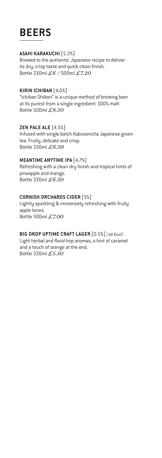# **BEERS**

#### **ASAHI KARAKUCHI** [5.2%]

Brewed to the authentic Japanese recipe to deliver its dry, crisp taste and quick clean finish. Bottle 330ml *£6* / 500ml *£7.20*

#### **KIRIN ICHIBAN** [4.6%]

"Ichiban Shibori" is a unique method of brewing beer at its purest from a single ingredient: 100% malt. Bottle 500ml *£8.50* 

#### **ZEN PALE ALE** [4.5%]

Infused with single batch Kabusencha Japanese green tea. Fruity, delicate and crisp. Bottle 330ml *£6.50*

#### **MEANTIME ANYTIME IPA** [4.7%]

Refreshing with a clean dry finish and tropical hints of pineapple and mango. Bottle 330ml *£6.50*

#### **CORNISH ORCHARDS CIDER** [5%]

Lightly sparkling & immensely refreshing with fruity apple tones. Bottle 500ml *£7.00*

#### **BIG DROP UPTIME CRAFT LAGER** [0.5%] *(39 kcal)*

Light herbal and floral hop aromas, a hint of caramel and a touch of orange at the end. Bottle 330ml *£5.50*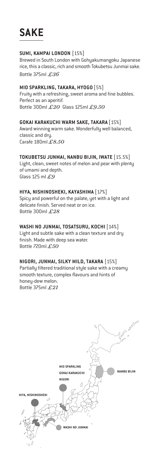# **SAKE**

#### **SUMI, KAMPAI LONDON** [15%]

Brewed in South London with Gohyakumangoku Japanese rice, this a classic, rich and smooth Tokubetsu Junmai sake. Bottle 375ml *£36*

#### **MIO SPARKLING, TAKARA, HYOGO** [5%]

Fruity with a refreshing, sweet aroma and fine bubbles. Perfect as an aperitif. Bottle 300ml *£20* Glass 125ml *£9.50* 

### **GOKAI KARAKUCHI WARM SAKE, TAKARA** [15%]

Award winning warm sake. Wonderfully well balanced, classic and dry. Carafe 180ml *£8.50*

### **TOKUBETSU JUNMAI, NANBU BIJIN, IWATE** [15.5%]

Light, clean, sweet notes of melon and pear with plenty of umami and depth. Glass 125 ml *£9*

#### **HIYA, NISHINOSHEKI, KAYASHIMA** [17%]

Spicy and powerful on the palate, yet with a light and delicate finish. Served neat or on ice. Bottle 300ml *£28* 

#### **WASHI NO JUNMAI, TOSATSURU, KOCHI** [14%]

Light and subtle sake with a clean texture and dry finish. Made with deep sea water. Bottle 720ml *£50*

### **NIGORI, JUNMAI, SILKY MILD, TAKARA** [15%]

Partially filtered traditional style sake with a creamy smooth texture, complex flavours and hints of honey-dew melon. Bottle 375ml *£21*

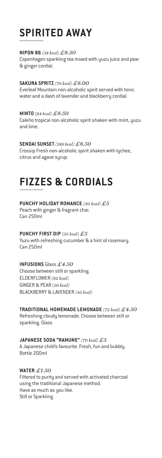# **SPIRITED AWAY**

#### **NIPON 86** *(58 kcal) £8.50*

Copenhagen sparkling tea mixed with yuzu juice and pear & ginger cordial.

#### **SAKURA SPRITZ** *(70 kcal) £8.00*

Everleaf Mountain non-alcoholic spirit served with tonic water and a dash of lavender and blackberry cordial.

**MINTO** *(94 kcal) £8.50* Caleño tropical non-alcoholic spirit shaken with mint, yuzu and lime.

#### **SENDAI SUNSET** *(189 kcal) £8.50*

Crossip Fresh non-alcoholic spirit shaken with lychee, citrus and agave syrup.

# **FIZZES & CORDIALS**

#### **PUNCHY HOLIDAY ROMANCE** *(30 kcal) £5* Peach with ginger & fragrant chai. Can 250ml

# **PUNCHY FIRST DIP** *(35 kcal) £5*

Yuzu with refreshing cucumber & a hint of rosemary. Can 250ml

#### **INFUSIONS** Glass *£4.50*

Choose between still or sparkling. ELDERFLOWER *(82 kcal)* GINGER & PEAR *(50 kcal)* BLACKBERRY & LAVENDER *(45 kcal)*

# **TRADITIONAL HOMEMADE LEMONADE** *(72 kcal) £4.50*  Refreshing cloudy lemonade. Choose between still or

sparkling. Glass

#### **JAPANESE SODA "RAMUNE"** *(70 kcal) £5*

A Japanese child's favourite. Fresh, fun and bubbly. Bottle 200ml

# **WATER** *£1.50*

Filtered to purity and served with activated charcoal using the traditional Japanese method. Have as much as you like. Still or Sparkling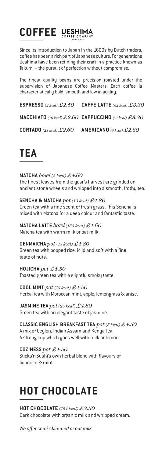# **COFFEE** UESHIMA

Since its introduction to Japan in the 1600s by Dutch traders, coffee has been a rich part of Japanese culture. For generations Ueshima have been refining their craft in a practice known as Takumi – the pursuit of perfection without compromise.

The finest quality beans are precision roasted under the supervision of Japanese Coffee Masters. Each coffee is characteristically bold, smooth and low in acidity.

**ESPRESSO** *(2 kcal) £2.50* **CAFFE LATTE** *(92 kcal) £3.30*

**MACCHIATO** *(10 kcal) £2.60* **CAPPUCCINO** *(71 kcal) £3.30*

**CORTADO** *(28 kcal) £2.60* **AMERICANO** *(5 kcal) £2.80*

# **TEA**

**MATCHA** *bowl (3 kcal) £4.60* The finest leaves from the year's harvest are grinded on ancient stone wheels and whipped into a smooth, frothy tea.

**SENCHA & MATCHA** *pot (10 kcal) £4.80* Green tea with a fine scent of fresh grass. This Sencha is mixed with Matcha for a deep colour and fantastic taste.

**MATCHA LATTE** *bowl (150 kcal) £4.60* Matcha tea with warm milk or oat milk.

**GENMAICHA** *pot (15 kcal) £4.80* Green tea with popped rice. Mild and soft with a fine taste of nuts.

**HOJICHA** *pot £4.50* Toasted green tea with a slightly smoky taste.

**COOL MINT** *pot (15 kcal) £4.50* Herbal tea with Moroccan mint, apple, lemongrass & anise.

**JASMINE TEA** *pot (25 kcal) £4.80* Green tea with an elegant taste of jasmine.

**CLASSIC ENGLISH BREAKFAST TEA** *pot (5 kcal) £4.50* A mix of Ceylon, Indian Assam and Kenya Tea. A strong cup which goes well with milk or lemon.

**COZINESS** *pot £4.50* Sticks'n'Sushi's own herbal blend with flavours of liquorice & mint.

# **HOT CHOCOLATE**

**HOT CHOCOLATE** *(184 kcal) £3.50* Dark chocolate with organic milk and whipped cream.

*We offer semi-skimmed or oat milk.*